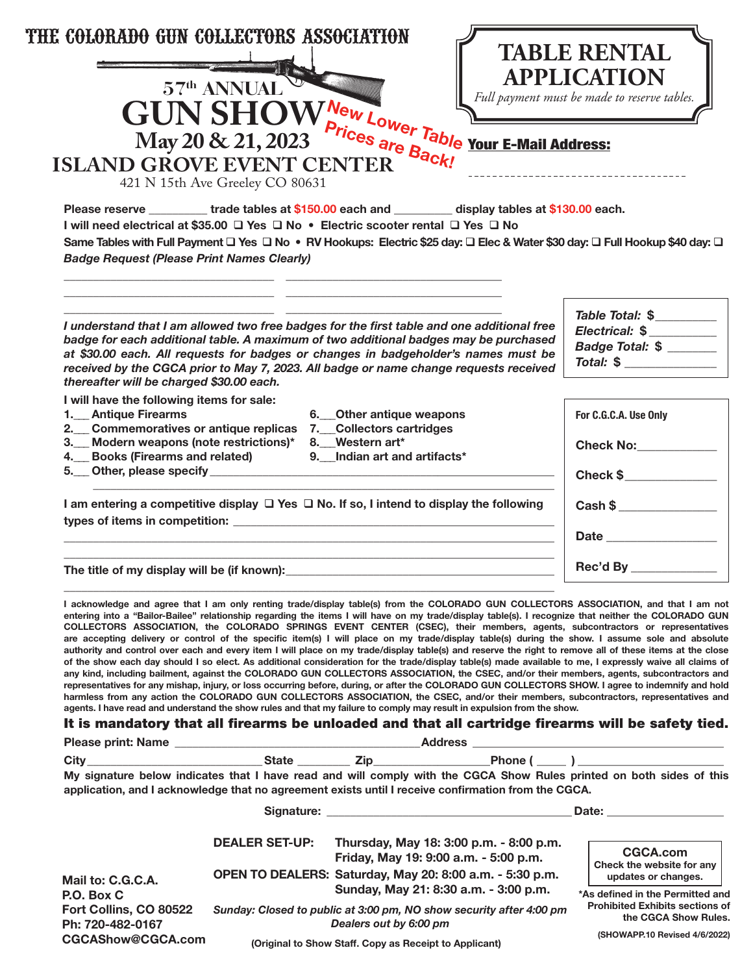| 'HE COLORADO GUN COLLECTORS ASSOCIATION<br><b>ISLAND GROVE EVENT CENTER</b><br><b>Badge Request (Please Print Names Clearly)</b>                                                                                                                                                                                                                                                                              |                       | $\label{eq:GUNSHOWe} \begin{minipage}{0.9\linewidth} \begin{tabular}{c} 57^{\rm th} \text{ANNUAL} \\ \text{CN} \text{SHOW}_{\text{Prices are Bable} } \text{Four E-Mail Address:} \end{tabular} \end{minipage}$<br>Please reserve _________ trade tables at \$150.00 each and ________ display tables at \$130.00 each.<br>I will need electrical at \$35.00 □ Yes □ No • Electric scooter rental □ Yes □ No<br>Same Tables with Full Payment □ Yes □ No • RV Hookups: Electric \$25 day: □ Elec & Water \$30 day: □ Full Hookup \$40 day: □                                                                                                                                                                                                                                                                                                                                                                                                                                                                                                                                                                                                                                                                                                                                                                                                                                                                                                                                                                                                                                       | <b>TABLE RENTAL</b><br><b>APPLICATION</b><br>Full payment must be made to reserve tables.                                                                                      |
|---------------------------------------------------------------------------------------------------------------------------------------------------------------------------------------------------------------------------------------------------------------------------------------------------------------------------------------------------------------------------------------------------------------|-----------------------|------------------------------------------------------------------------------------------------------------------------------------------------------------------------------------------------------------------------------------------------------------------------------------------------------------------------------------------------------------------------------------------------------------------------------------------------------------------------------------------------------------------------------------------------------------------------------------------------------------------------------------------------------------------------------------------------------------------------------------------------------------------------------------------------------------------------------------------------------------------------------------------------------------------------------------------------------------------------------------------------------------------------------------------------------------------------------------------------------------------------------------------------------------------------------------------------------------------------------------------------------------------------------------------------------------------------------------------------------------------------------------------------------------------------------------------------------------------------------------------------------------------------------------------------------------------------------------|--------------------------------------------------------------------------------------------------------------------------------------------------------------------------------|
| I understand that I am allowed two free badges for the first table and one additional free<br>badge for each additional table. A maximum of two additional badges may be purchased<br>at \$30.00 each. All requests for badges or changes in badgeholder's names must be<br>received by the CGCA prior to May 7, 2023. All badge or name change requests received<br>thereafter will be charged \$30.00 each. |                       |                                                                                                                                                                                                                                                                                                                                                                                                                                                                                                                                                                                                                                                                                                                                                                                                                                                                                                                                                                                                                                                                                                                                                                                                                                                                                                                                                                                                                                                                                                                                                                                    | Table Total: \$<br>Electrical: \$<br>Badge Total: \$<br>Total: \$                                                                                                              |
| I will have the following items for sale:<br>1. Antique Firearms<br>2. Commemoratives or antique replicas 7. Collectors cartridges<br>3. Modern weapons (note restrictions)*<br>4. Books (Firearms and related)<br>5. Other, please specify __________                                                                                                                                                        |                       | 6. Other antique weapons<br>8. Western art*<br>9. Indian art and artifacts*                                                                                                                                                                                                                                                                                                                                                                                                                                                                                                                                                                                                                                                                                                                                                                                                                                                                                                                                                                                                                                                                                                                                                                                                                                                                                                                                                                                                                                                                                                        | For C.G.C.A. Use Only<br><b>Check No:</b> 2001<br>Check \$                                                                                                                     |
|                                                                                                                                                                                                                                                                                                                                                                                                               |                       | I am entering a competitive display $\Box$ Yes $\Box$ No. If so, I intend to display the following                                                                                                                                                                                                                                                                                                                                                                                                                                                                                                                                                                                                                                                                                                                                                                                                                                                                                                                                                                                                                                                                                                                                                                                                                                                                                                                                                                                                                                                                                 | Cash \$                                                                                                                                                                        |
| The title of my display will be (if known):                                                                                                                                                                                                                                                                                                                                                                   | Rec'd By ____________ |                                                                                                                                                                                                                                                                                                                                                                                                                                                                                                                                                                                                                                                                                                                                                                                                                                                                                                                                                                                                                                                                                                                                                                                                                                                                                                                                                                                                                                                                                                                                                                                    |                                                                                                                                                                                |
|                                                                                                                                                                                                                                                                                                                                                                                                               |                       | I acknowledge and agree that I am only renting trade/display table(s) from the COLORADO GUN COLLECTORS ASSOCIATION, and that I am not<br>entering into a "Bailor-Bailee" relationship regarding the items I will have on my trade/display table(s). I recognize that neither the COLORADO GUN<br>COLLECTORS ASSOCIATION, the COLORADO SPRINGS EVENT CENTER (CSEC), their members, agents, subcontractors or representatives<br>are accepting delivery or control of the specific item(s) I will place on my trade/display table(s) during the show. I assume sole and absolute<br>authority and control over each and every item I will place on my trade/display table(s) and reserve the right to remove all of these items at the close<br>of the show each day should I so elect. As additional consideration for the trade/display table(s) made available to me, I expressly waive all claims of<br>any kind, including bailment, against the COLORADO GUN COLLECTORS ASSOCIATION, the CSEC, and/or their members, agents, subcontractors and<br>representatives for any mishap, injury, or loss occurring before, during, or after the COLORADO GUN COLLECTORS SHOW. I agree to indemnify and hold<br>harmless from any action the COLORADO GUN COLLECTORS ASSOCIATION, the CSEC, and/or their members, subcontractors, representatives and<br>agents. I have read and understand the show rules and that my failure to comply may result in expulsion from the show.<br>It is mandatory that all firearms be unloaded and that all cartridge firearms will be safety tied. |                                                                                                                                                                                |
|                                                                                                                                                                                                                                                                                                                                                                                                               |                       | City _________________________________State ____________Zip ____________________Phone ( _____ ) ____________________                                                                                                                                                                                                                                                                                                                                                                                                                                                                                                                                                                                                                                                                                                                                                                                                                                                                                                                                                                                                                                                                                                                                                                                                                                                                                                                                                                                                                                                               |                                                                                                                                                                                |
|                                                                                                                                                                                                                                                                                                                                                                                                               |                       | My signature below indicates that I have read and will comply with the CGCA Show Rules printed on both sides of this<br>application, and I acknowledge that no agreement exists until I receive confirmation from the CGCA.                                                                                                                                                                                                                                                                                                                                                                                                                                                                                                                                                                                                                                                                                                                                                                                                                                                                                                                                                                                                                                                                                                                                                                                                                                                                                                                                                        |                                                                                                                                                                                |
|                                                                                                                                                                                                                                                                                                                                                                                                               |                       |                                                                                                                                                                                                                                                                                                                                                                                                                                                                                                                                                                                                                                                                                                                                                                                                                                                                                                                                                                                                                                                                                                                                                                                                                                                                                                                                                                                                                                                                                                                                                                                    | Date: <b>Date: Date: Date: Date: Date: Date: Date: Date: Date: Date: Date: Date: Date: Date: Date: Date: Date: Date: Date: Date: Date: Date: Date: Date: Date: Date: Date:</b> |
| Mail to: C.G.C.A.                                                                                                                                                                                                                                                                                                                                                                                             | <b>DEALER SET-UP:</b> | Thursday, May 18: 3:00 p.m. - 8:00 p.m.<br>Friday, May 19: 9:00 a.m. - 5:00 p.m.<br>OPEN TO DEALERS: Saturday, May 20: 8:00 a.m. - 5:30 p.m.                                                                                                                                                                                                                                                                                                                                                                                                                                                                                                                                                                                                                                                                                                                                                                                                                                                                                                                                                                                                                                                                                                                                                                                                                                                                                                                                                                                                                                       | <b>CGCA.com</b><br>Check the website for any<br>updates or changes.                                                                                                            |
| P.O. Box C<br>Fort Collins, CO 80522<br>Ph: 720-482-0167                                                                                                                                                                                                                                                                                                                                                      |                       | Sunday, May 21: 8:30 a.m. - 3:00 p.m.<br>Sunday: Closed to public at 3:00 pm, NO show security after 4:00 pm<br>Dealers out by 6:00 pm                                                                                                                                                                                                                                                                                                                                                                                                                                                                                                                                                                                                                                                                                                                                                                                                                                                                                                                                                                                                                                                                                                                                                                                                                                                                                                                                                                                                                                             | *As defined in the Permitted and<br><b>Prohibited Exhibits sections of</b><br>the CGCA Show Rules.                                                                             |
| CGCAShow@CGCA.com                                                                                                                                                                                                                                                                                                                                                                                             |                       | (Original to Show Staff. Copy as Receipt to Applicant)                                                                                                                                                                                                                                                                                                                                                                                                                                                                                                                                                                                                                                                                                                                                                                                                                                                                                                                                                                                                                                                                                                                                                                                                                                                                                                                                                                                                                                                                                                                             | (SHOWAPP.10 Revised 4/6/2022)                                                                                                                                                  |